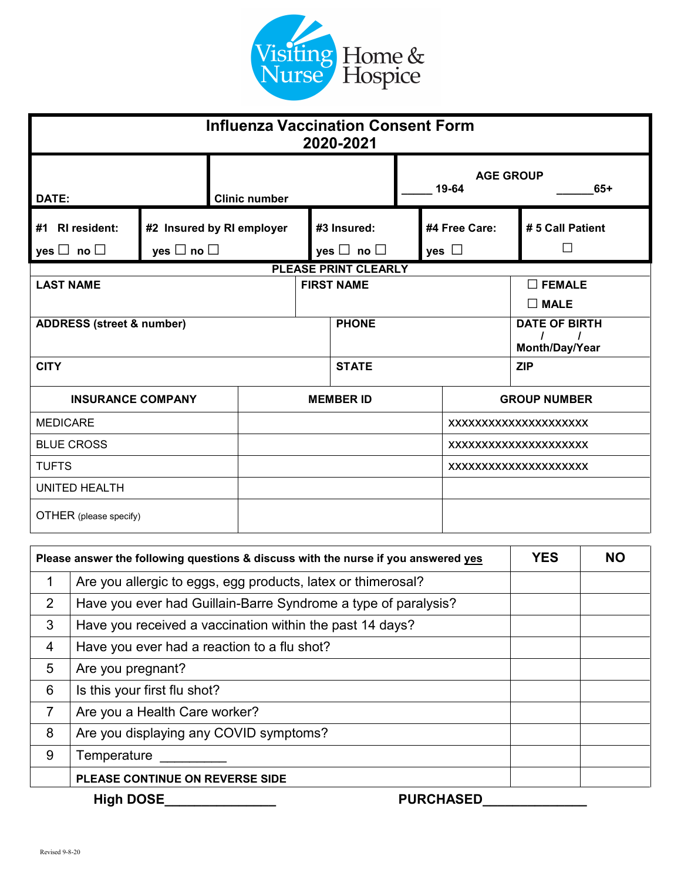

| <b>Influenza Vaccination Consent Form</b><br>2020-2021 |                                                   |                      |                   |                                     |                                        |                             |                            |
|--------------------------------------------------------|---------------------------------------------------|----------------------|-------------------|-------------------------------------|----------------------------------------|-----------------------------|----------------------------|
| DATE:                                                  |                                                   | <b>Clinic number</b> |                   |                                     | <b>AGE GROUP</b><br>19-64<br>$65+$     |                             |                            |
| #1<br><b>RI</b> resident:<br>yes $\Box$ no $\Box$      | #2 Insured by RI employer<br>yes $\Box$ no $\Box$ |                      |                   | #3 Insured:<br>yes $\Box$ no $\Box$ |                                        | #4 Free Care:<br>yes $\Box$ | # 5 Call Patient<br>$\Box$ |
|                                                        |                                                   |                      |                   | <b>PLEASE PRINT CLEARLY</b>         |                                        |                             |                            |
| <b>LAST NAME</b>                                       |                                                   |                      | <b>FIRST NAME</b> |                                     |                                        | $\square$ FEMALE            |                            |
|                                                        |                                                   |                      |                   |                                     |                                        |                             | $\square$ MALE             |
| <b>ADDRESS (street &amp; number)</b>                   |                                                   |                      | <b>PHONE</b>      |                                     | <b>DATE OF BIRTH</b><br>Month/Day/Year |                             |                            |
| <b>CITY</b>                                            |                                                   |                      | <b>STATE</b>      |                                     | <b>ZIP</b>                             |                             |                            |
| <b>INSURANCE COMPANY</b>                               |                                                   | <b>MEMBER ID</b>     |                   | <b>GROUP NUMBER</b>                 |                                        |                             |                            |
| <b>MEDICARE</b>                                        |                                                   |                      |                   |                                     |                                        | XXXXXXXXXXXXXXXXXXXX        |                            |
| <b>BLUE CROSS</b>                                      |                                                   |                      |                   | XXXXXXXXXXXXXXXXXXXXX               |                                        |                             |                            |
| <b>TUFTS</b>                                           |                                                   |                      |                   |                                     | XXXXXXXXXXXXXXXXXXXX                   |                             |                            |
| <b>UNITED HEALTH</b>                                   |                                                   |                      |                   |                                     |                                        |                             |                            |
| OTHER (please specify)                                 |                                                   |                      |                   |                                     |                                        |                             |                            |

| Please answer the following questions & discuss with the nurse if you answered yes |                                                                | <b>YES</b> | <b>NO</b> |
|------------------------------------------------------------------------------------|----------------------------------------------------------------|------------|-----------|
| 1                                                                                  | Are you allergic to eggs, egg products, latex or thimerosal?   |            |           |
| $\overline{2}$                                                                     | Have you ever had Guillain-Barre Syndrome a type of paralysis? |            |           |
| 3                                                                                  | Have you received a vaccination within the past 14 days?       |            |           |
| $\overline{4}$                                                                     | Have you ever had a reaction to a flu shot?                    |            |           |
| 5                                                                                  | Are you pregnant?                                              |            |           |
| 6                                                                                  | Is this your first flu shot?                                   |            |           |
| $\overline{7}$                                                                     | Are you a Health Care worker?                                  |            |           |
| 8                                                                                  | Are you displaying any COVID symptoms?                         |            |           |
| 9                                                                                  | Temperature                                                    |            |           |
|                                                                                    | PLEASE CONTINUE ON REVERSE SIDE                                |            |           |
|                                                                                    | <b>High DOSE</b><br><b>PURCHASED</b>                           |            |           |